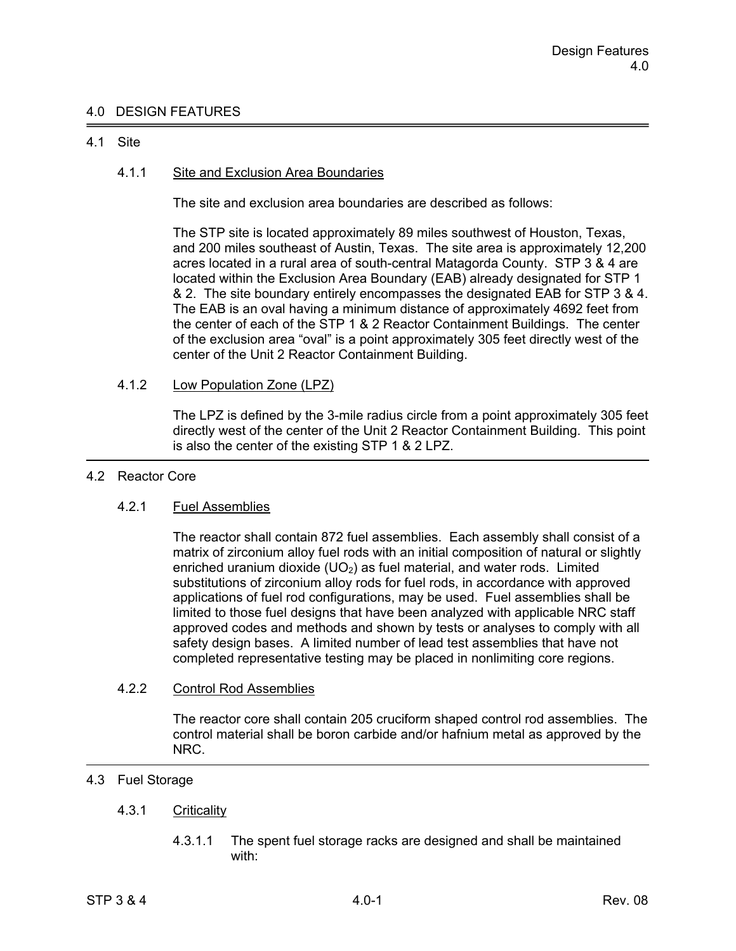## 4.0 DESIGN FEATURES

## 4.1 Site

## 4.1.1 Site and Exclusion Area Boundaries

The site and exclusion area boundaries are described as follows:

The STP site is located approximately 89 miles southwest of Houston, Texas, and 200 miles southeast of Austin, Texas. The site area is approximately 12,200 acres located in a rural area of south-central Matagorda County. STP 3 & 4 are located within the Exclusion Area Boundary (EAB) already designated for STP 1 & 2. The site boundary entirely encompasses the designated EAB for STP 3 & 4. The EAB is an oval having a minimum distance of approximately 4692 feet from the center of each of the STP 1 & 2 Reactor Containment Buildings. The center of the exclusion area "oval" is a point approximately 305 feet directly west of the center of the Unit 2 Reactor Containment Building.

## 4.1.2 Low Population Zone (LPZ)

 The LPZ is defined by the 3-mile radius circle from a point approximately 305 feet directly west of the center of the Unit 2 Reactor Containment Building. This point is also the center of the existing STP 1 & 2 LPZ.

#### 4.2 Reactor Core

## 4.2.1 Fuel Assemblies

 The reactor shall contain 872 fuel assemblies. Each assembly shall consist of a matrix of zirconium alloy fuel rods with an initial composition of natural or slightly enriched uranium dioxide (UO<sub>2</sub>) as fuel material, and water rods. Limited substitutions of zirconium alloy rods for fuel rods, in accordance with approved applications of fuel rod configurations, may be used. Fuel assemblies shall be limited to those fuel designs that have been analyzed with applicable NRC staff approved codes and methods and shown by tests or analyses to comply with all safety design bases. A limited number of lead test assemblies that have not completed representative testing may be placed in nonlimiting core regions.

#### 4.2.2 Control Rod Assemblies

 The reactor core shall contain 205 cruciform shaped control rod assemblies. The control material shall be boron carbide and/or hafnium metal as approved by the NRC.

# 4.3 Fuel Storage

## 4.3.1 Criticality

 4.3.1.1 The spent fuel storage racks are designed and shall be maintained with: